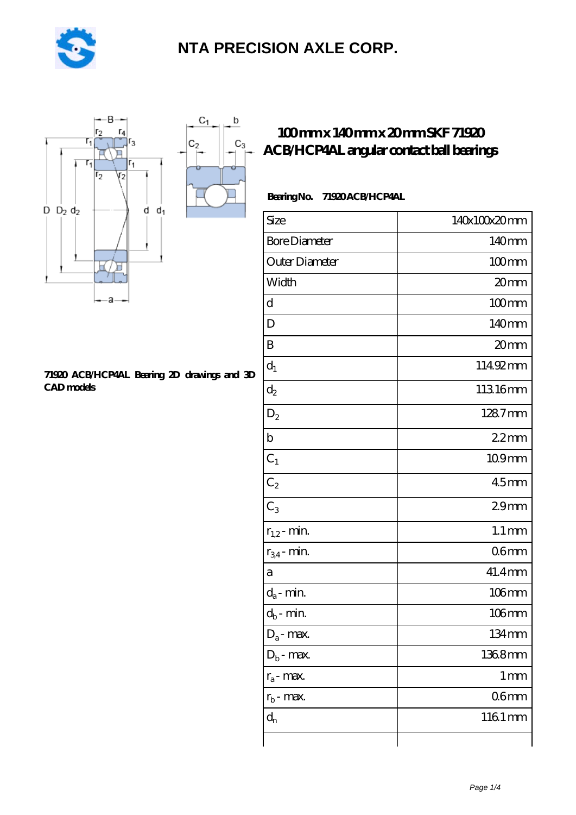

 $\sf b$ 

ó

 $C_3$ 



#### **[71920 ACB/HCP4AL Bearing 2D drawings and 3D](https://m.pejle.com/pic-448141.html) [CAD models](https://m.pejle.com/pic-448141.html)**

### **[100 mm x 140 mm x 20 mm SKF 71920](https://m.pejle.com/sell-448141-100-mm-x-140-mm-x-20-mm-skf-71920-acb-hcp4al-angular-contact-ball-bearings.html) [ACB/HCP4AL angular contact ball bearings](https://m.pejle.com/sell-448141-100-mm-x-140-mm-x-20-mm-skf-71920-acb-hcp4al-angular-contact-ball-bearings.html)**

### **Bearing No. 71920 ACB/HCP4AL**

| Size                       | 140x100x20mm        |
|----------------------------|---------------------|
| <b>Bore Diameter</b>       | 140 <sub>mm</sub>   |
| Outer Diameter             | $100$ mm            |
| Width                      | 20mm                |
| d                          | $100$ mm            |
| D                          | 140mm               |
| B                          | 20mm                |
| $d_1$                      | 11492mm             |
| $d_2$                      | 11316mm             |
| $D_2$                      | 1287mm              |
| $\mathbf b$                | 22mm                |
| $C_1$                      | 109mm               |
| $C_2$                      | 45 <sub>mm</sub>    |
| $C_3$                      | 29 <sub>mm</sub>    |
| $r_{1,2}$ - min.           | $1.1 \, \text{mm}$  |
| $r_{34}$ - min.            | 06 <sub>mm</sub>    |
| a                          | 41.4mm              |
| $d_a$ - min.               | $106$ mm            |
| $d_b\operatorname{-} \min$ | $106$ mm            |
| $D_a$ - max.               | $134 \,\mathrm{mm}$ |
| $D_b$ - max.               | 1368mm              |
| $r_a$ - max.               | $1 \,\mathrm{mm}$   |
| $r_{b}$ - max.             | 06 <sub>mm</sub>    |
| $d_{n}$                    | 1161mm              |
|                            |                     |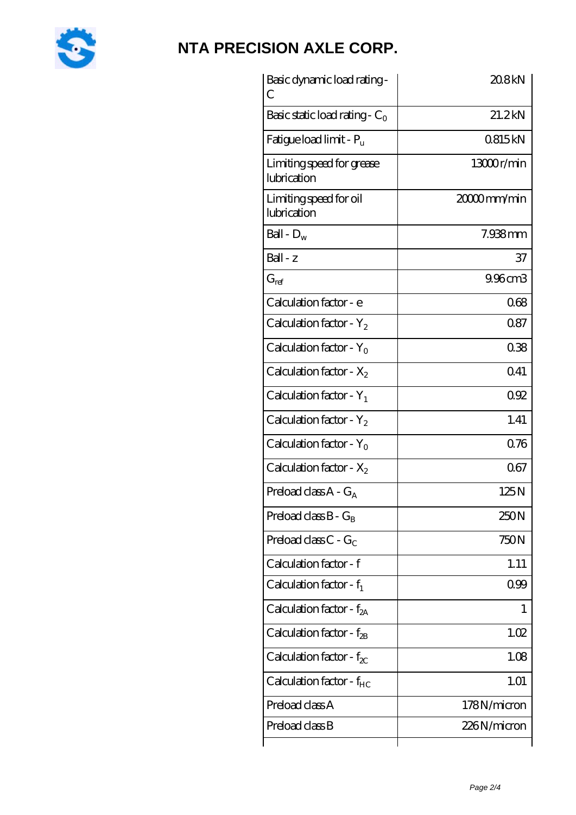

| Basic dynamic load rating-<br>С          | 20.8kN      |
|------------------------------------------|-------------|
| Basic static load rating - $C_0$         | 21.2kN      |
| Fatigue load limit - $P_{\rm u}$         | 0815kN      |
| Limiting speed for grease<br>lubrication | 13000r/min  |
| Limiting speed for oil<br>lubrication    | 20000mm/min |
| Ball - $D_w$                             | 7.938mm     |
| $Ball - z$                               | 37          |
| $G_{ref}$                                | 9.96cm3     |
| Calculation factor - e                   | 068         |
| Calculation factor - $Y_2$               | 0.87        |
| Calculation factor - $Y_0$               | 038         |
| Calculation factor - $X_2$               | 041         |
| Calculation factor - $Y_1$               | 092         |
| Calculation factor - $Y_2$               | 1.41        |
| Calculation factor - $Y_0$               | 0.76        |
| Calculation factor - $X_2$               | 067         |
| Preload class $A - G_A$                  | 125N        |
| Preload class $B - G_B$                  | 250N        |
| Preload class $C - G_C$                  | 750N        |
| Calculation factor - f                   | 1.11        |
| Calculation factor - $f_1$               | 099         |
| Calculation factor - $f_{2A}$            | 1           |
| Calculation factor - $f_{\rm 2B}$        | 1.02        |
| Calculation factor - $f_{\chi}$          | 1.08        |
| Calculation factor - $f_{HC}$            | 1.01        |
| Preload class A                          | 178N/micron |
| Preload class B                          | 226N/micron |
|                                          |             |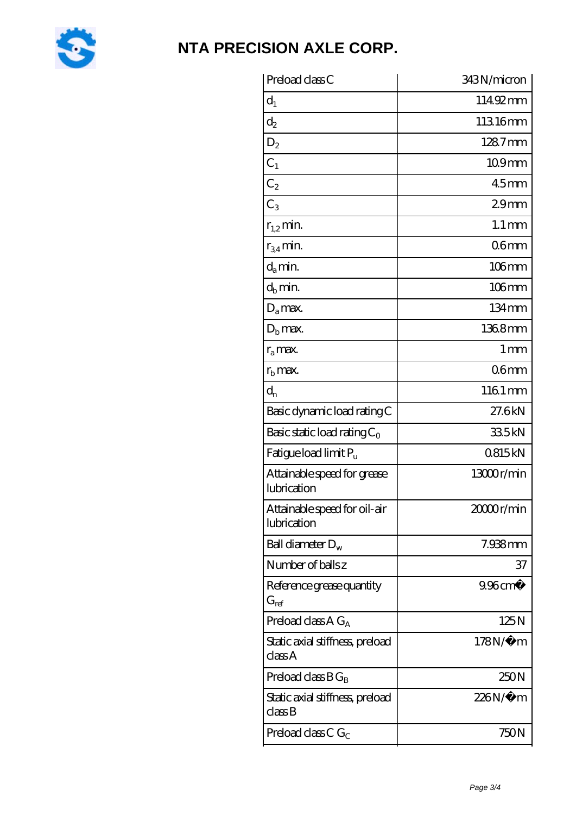

| Preload class C                                               | 343N/micron         |
|---------------------------------------------------------------|---------------------|
| $d_1$                                                         | 11492mm             |
| $\mathrm{d}_2$                                                | 11316mm             |
| $D_2$                                                         | 1287mm              |
| $C_1$                                                         | 109mm               |
| $C_2$                                                         | <b>45mm</b>         |
| $C_3$                                                         | 29 <sub>mm</sub>    |
| $r_{1,2}$ min.                                                | $1.1 \,\mathrm{mm}$ |
| $r_{34}$ min.                                                 | 06 <sub>mm</sub>    |
| $d_a$ min.                                                    | 106mm               |
| $d_h$ min.                                                    | $106$ mm            |
| $D_a$ max.                                                    | 134mm               |
| $Db$ max.                                                     | 1368mm              |
| $r_a$ max.                                                    | 1 <sub>mm</sub>     |
| $r_{\rm b}$ max.                                              | 06 <sub>mm</sub>    |
| $d_{n}$                                                       | 1161 mm             |
| Basic dynamic load rating C                                   | 27.6kN              |
| Basic static load rating $C_0$                                | 335kN               |
| Fatigue load limit $P_u$                                      | 0815kN              |
| Attainable speed for grease<br>lubrication                    | 13000r/min          |
| Attainable speed for oil-air<br>lubrication                   | 2000r/min           |
| Ball diameter $D_w$                                           | 7.938mm             |
| Number of balls z                                             | 37                  |
| Reference grease quantity<br>$G_{ref}$                        | $9.96 \text{ cm}^3$ |
| Preload class A $G_A$                                         | 125N                |
| Static axial stiffness, preload<br>classA                     | $178N/\mu$ m        |
| Preload class $BG_B$                                          | 250N                |
| Static axial stiffness, preload<br>$\mathrm{class}\mathrm{B}$ | 226N/µ m            |
| Preload class C $G_C$                                         | 750N                |
|                                                               |                     |